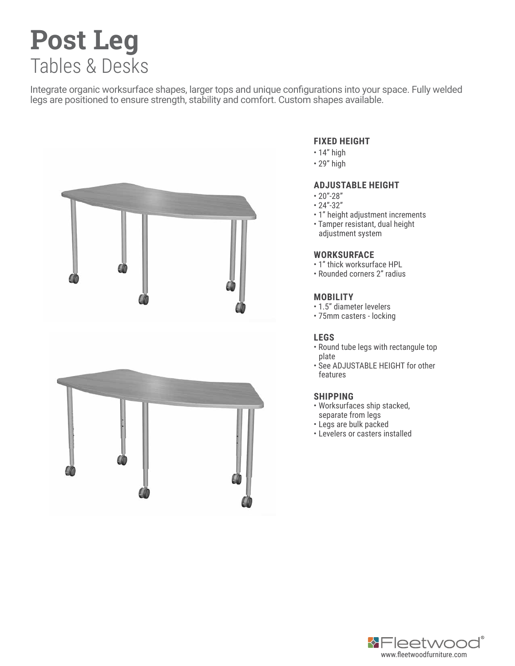# **Post Leg** Tables & Desks

Integrate organic worksurface shapes, larger tops and unique configurations into your space. Fully welded legs are positioned to ensure strength, stability and comfort. Custom shapes available.



#### **FIXED HEIGHT**

- 14" high
- 29" high

#### **ADJUSTABLE HEIGHT**

- $20" 28"$
- 24"-32"
- 1" height adjustment increments
- Tamper resistant, dual height adjustment system

## **WORKSURFACE**

- 1" thick worksurface HPL
- Rounded corners 2" radius

#### **MOBILITY**

- 1.5" diameter levelers
- 75mm casters locking

## **LEGS**

- Round tube legs with rectangule top plate
- See ADJUSTABLE HEIGHT for other features

## **SHIPPING**

- Worksurfaces ship stacked, separate from legs
- Legs are bulk packed
- Levelers or casters installed

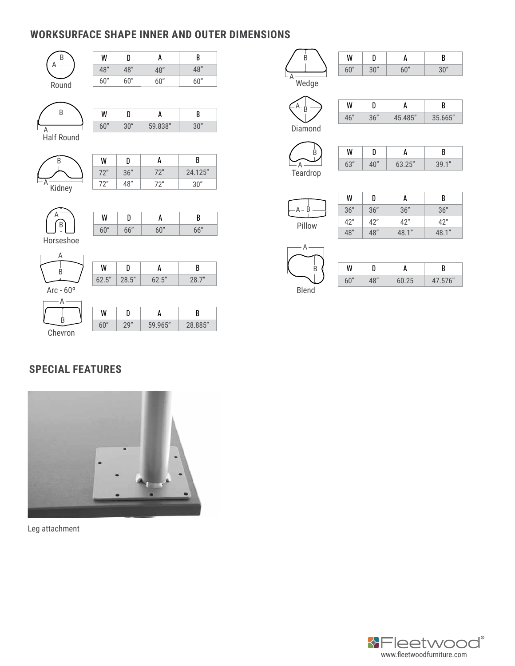# **WORKSURFACE SHAPE INNER AND OUTER DIMENSIONS**

| B                  | W     | D     | A       | B       |
|--------------------|-------|-------|---------|---------|
|                    | 48"   | 48"   | 48"     | 48"     |
| Round              | 60"   | 60"   | 60"     | 60"     |
|                    |       |       |         |         |
|                    |       |       |         |         |
| B                  | W     | D     | A       | B       |
| А                  | 60"   | 30"   | 59.838" | 30"     |
| <b>Half Round</b>  |       |       |         |         |
|                    |       |       |         |         |
| B                  | W     | D     | A       | B       |
|                    | 72"   | 36"   | 72"     | 24.125" |
| А<br>Kidney        | 72"   | 48"   | 72"     | 30"     |
|                    |       |       |         |         |
|                    |       |       |         |         |
|                    | W     | D     | A       | B       |
| B                  | 60"   | 66"   | 60"     | 66"     |
| Horseshoe          |       |       |         |         |
| А                  |       |       |         |         |
|                    | W     | D     | A       | B       |
| В                  | 62.5" | 28.5" | 62.5"   | 28.7"   |
| Arc - $60^{\circ}$ |       |       |         |         |
| А                  |       |       |         |         |
|                    | W     | D     | A       | B       |
| B                  | 60"   | 29"   | 59.965" | 28.885" |
| Chevron            |       |       |         |         |

W 60" B

| <br>. . |                | . .       |          |
|---------|----------------|-----------|----------|
| 6n''    | $\overline{v}$ | $\bigcap$ | $\gamma$ |

Wedge A

 $A \frac{1}{B}$ 

| $\epsilon$ $\theta$ | 76" | O E'' | GGL'' |
|---------------------|-----|-------|-------|

Diamond

B A Teardrop

| W   |          |        |       |
|-----|----------|--------|-------|
| 63" | $\cap''$ | 63.25" | 39.1" |



| W   | D   | А     | B     |
|-----|-----|-------|-------|
| 36" | 36" | 36"   | 36"   |
| 42" | 42" | 42"   | 42"   |
| 48" | 48" | 48.1" | 48.1" |



| W   |     |       |         |
|-----|-----|-------|---------|
| 60" | 18" | 60.25 | 47.576" |

# **SPECIAL FEATURES**



Leg attachment

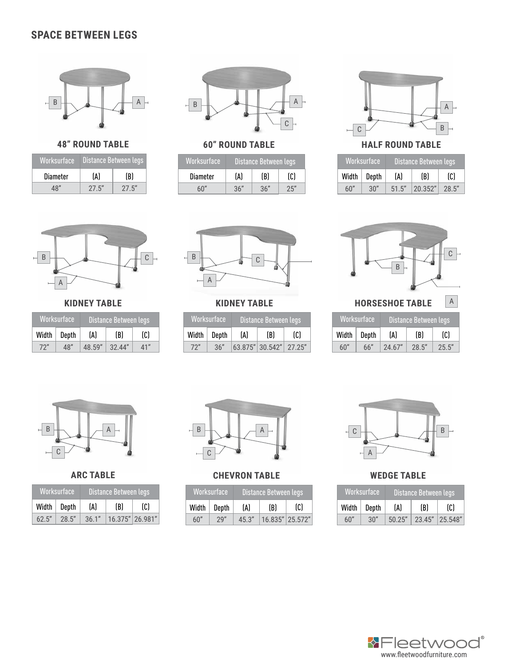## **SPACE BETWEEN LEGS**



**48" ROUND TABLE**

| Worksurface | Distance Between legs |        |  |
|-------------|-----------------------|--------|--|
| Diameter    | (A)                   | (B)    |  |
| 18″         | 27.5"                 | 27.5'' |  |



# **60" ROUND TABLE**

| Worksurface     | Distance Between legs |     |       |
|-----------------|-----------------------|-----|-------|
| <b>Diameter</b> | (A)                   | (B) | (C)   |
| հበ"             | 36"                   | 36" | $-25$ |



**HALF ROUND TABLE**

|     | Worksurface     |       | ' Distance Between legs, |       |
|-----|-----------------|-------|--------------------------|-------|
|     | Width $ $ Depth | (A)   | (B)                      | (C)   |
| 60" | 30"             | 51.5" | 20.352"                  | 28.5" |



**KIDNEY TABLE**

| Worksurface |       |        | Distance Between legs |     |
|-------------|-------|--------|-----------------------|-----|
| Width       | Depth | (A)    | (B)                   | (C) |
| 72"         | 48"   | 48.59" | 32.44''               | 41" |



**KIDNEY TABLE**

| Worksurface |       |     | Distance Between legs  |     |
|-------------|-------|-----|------------------------|-----|
| Width       | Depth | (A) | (B)                    | (C) |
| 72"         | 36"   |     | 63.875" 30.542" 27.25" |     |



| 'Worksurface<br>Distance Between legs |       |        |       |       |
|---------------------------------------|-------|--------|-------|-------|
| Width                                 | Depth | (A)    | (B)   | (C)   |
| 60''                                  | 66"   | 24.67" | 28.5" | 25.5" |



**ARC TABLE**

| Worksurface |       | Distance Between legs |     |                 |
|-------------|-------|-----------------------|-----|-----------------|
| Width       | Depth | (A)                   | (B) | (C)             |
| 62.5"       | 28.5" | 36.1"                 |     | 16.375" 26.981" |



## **CHEVRON TABLE**

|       | Worksurface | Distance Between legs |                 |     |  |
|-------|-------------|-----------------------|-----------------|-----|--|
| Width | Depth       | (A)                   | (B)             | (C) |  |
| 60"   | 29"         | 45.3''                | 16.835" 25.572" |     |  |



**WEDGE TABLE**

| Worksurface |       | Distance Between legs |  |                |
|-------------|-------|-----------------------|--|----------------|
| Width       | Depth | (A)<br>(B)            |  | (C)            |
| 6በ"         | 30"   | 50.25"                |  | 23.45" 25.548" |